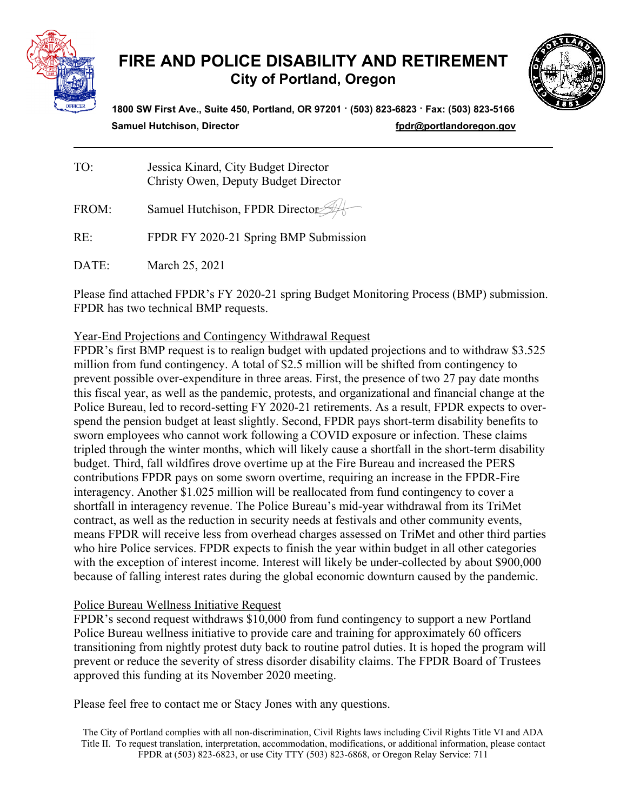

# **FIRE AND POLICE DISABILITY AND RETIREMENT City of Portland, Oregon**



**1800 SW First Ave., Suite 450, Portland, OR 97201 · (503) 823-6823 · Fax: (503) 823-5166 Samuel Hutchison, Director** *n* **<b>***[fpdr@portlandoregon.gov](mailto:fpdr@portlandoregon.gov)* 

| TO: | Jessica Kinard, City Budget Director |
|-----|--------------------------------------|
|     | Christy Owen, Deputy Budget Director |

FROM: Samuel Hutchison, FPDR Director

RE: FPDR FY 2020-21 Spring BMP Submission

DATE: March 25, 2021

Please find attached FPDR's FY 2020-21 spring Budget Monitoring Process (BMP) submission. FPDR has two technical BMP requests.

Year-End Projections and Contingency Withdrawal Request

FPDR's first BMP request is to realign budget with updated projections and to withdraw \$3.525 million from fund contingency. A total of \$2.5 million will be shifted from contingency to prevent possible over-expenditure in three areas. First, the presence of two 27 pay date months this fiscal year, as well as the pandemic, protests, and organizational and financial change at the Police Bureau, led to record-setting FY 2020-21 retirements. As a result, FPDR expects to overspend the pension budget at least slightly. Second, FPDR pays short-term disability benefits to sworn employees who cannot work following a COVID exposure or infection. These claims tripled through the winter months, which will likely cause a shortfall in the short-term disability budget. Third, fall wildfires drove overtime up at the Fire Bureau and increased the PERS contributions FPDR pays on some sworn overtime, requiring an increase in the FPDR-Fire interagency. Another \$1.025 million will be reallocated from fund contingency to cover a shortfall in interagency revenue. The Police Bureau's mid-year withdrawal from its TriMet contract, as well as the reduction in security needs at festivals and other community events, means FPDR will receive less from overhead charges assessed on TriMet and other third parties who hire Police services. FPDR expects to finish the year within budget in all other categories with the exception of interest income. Interest will likely be under-collected by about \$900,000 because of falling interest rates during the global economic downturn caused by the pandemic.

# Police Bureau Wellness Initiative Request

FPDR's second request withdraws \$10,000 from fund contingency to support a new Portland Police Bureau wellness initiative to provide care and training for approximately 60 officers transitioning from nightly protest duty back to routine patrol duties. It is hoped the program will prevent or reduce the severity of stress disorder disability claims. The FPDR Board of Trustees approved this funding at its November 2020 meeting.

Please feel free to contact me or Stacy Jones with any questions.

The City of Portland complies with all non-discrimination, Civil Rights laws including Civil Rights Title VI and ADA Title II. To request translation, interpretation, accommodation, modifications, or additional information, please contact FPDR at (503) 823-6823, or use City TTY (503) 823-6868, or Oregon Relay Service: 711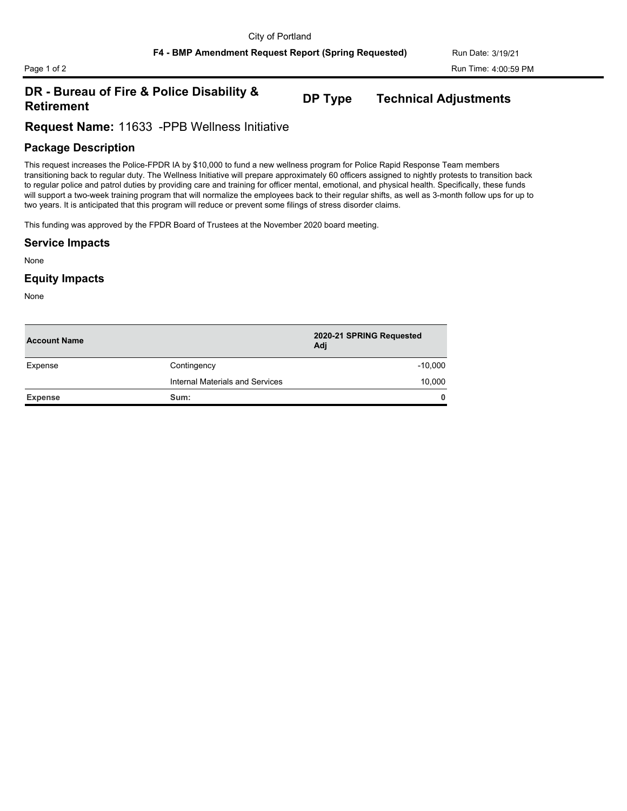# **DR - Bureau of Fire & Police Disability & Retirement DP Type Technical Adjustments**

**Request Name:** 11633 -PPB Wellness Initiative

## **Package Description**

This request increases the Police-FPDR IA by \$10,000 to fund a new wellness program for Police Rapid Response Team members transitioning back to regular duty. The Wellness Initiative will prepare approximately 60 officers assigned to nightly protests to transition back to regular police and patrol duties by providing care and training for officer mental, emotional, and physical health. Specifically, these funds will support a two-week training program that will normalize the employees back to their regular shifts, as well as 3-month follow ups for up to two years. It is anticipated that this program will reduce or prevent some filings of stress disorder claims.

This funding was approved by the FPDR Board of Trustees at the November 2020 board meeting.

#### **Service Impacts**

None

### **Equity Impacts**

None

| <b>Account Name</b> |                                 | 2020-21 SPRING Requested<br>Adj |
|---------------------|---------------------------------|---------------------------------|
| Expense             | Contingency                     | $-10,000$                       |
|                     | Internal Materials and Services | 10,000                          |
| <b>Expense</b>      | Sum:                            | $\mathbf{0}$                    |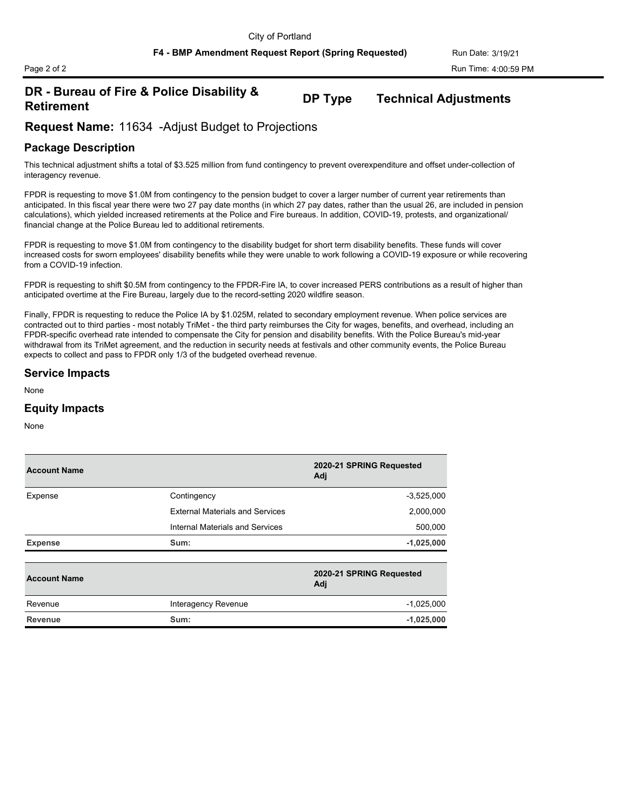# **DR - Bureau of Fire & Police Disability & Retirement DP Type Technical Adjustments**

**Request Name:** 11634 -Adjust Budget to Projections

# **Package Description**

This technical adjustment shifts a total of \$3.525 million from fund contingency to prevent overexpenditure and offset under-collection of interagency revenue.

FPDR is requesting to move \$1.0M from contingency to the pension budget to cover a larger number of current year retirements than anticipated. In this fiscal year there were two 27 pay date months (in which 27 pay dates, rather than the usual 26, are included in pension calculations), which yielded increased retirements at the Police and Fire bureaus. In addition, COVID-19, protests, and organizational/ financial change at the Police Bureau led to additional retirements.

FPDR is requesting to move \$1.0M from contingency to the disability budget for short term disability benefits. These funds will cover increased costs for sworn employees' disability benefits while they were unable to work following a COVID-19 exposure or while recovering from a COVID-19 infection.

FPDR is requesting to shift \$0.5M from contingency to the FPDR-Fire IA, to cover increased PERS contributions as a result of higher than anticipated overtime at the Fire Bureau, largely due to the record-setting 2020 wildfire season.

Finally, FPDR is requesting to reduce the Police IA by \$1.025M, related to secondary employment revenue. When police services are contracted out to third parties - most notably TriMet - the third party reimburses the City for wages, benefits, and overhead, including an FPDR-specific overhead rate intended to compensate the City for pension and disability benefits. With the Police Bureau's mid-year withdrawal from its TriMet agreement, and the reduction in security needs at festivals and other community events, the Police Bureau expects to collect and pass to FPDR only 1/3 of the budgeted overhead revenue.

#### **Service Impacts**

None

#### **Equity Impacts**

None

| <b>Account Name</b> |                                        | 2020-21 SPRING Requested<br>Adj |
|---------------------|----------------------------------------|---------------------------------|
| Expense             | Contingency                            | $-3,525,000$                    |
|                     | <b>External Materials and Services</b> | 2,000,000                       |
|                     | Internal Materials and Services        | 500,000                         |
| <b>Expense</b>      | Sum:                                   | $-1,025,000$                    |
| <b>Account Name</b> |                                        | 2020-21 SPRING Requested<br>Adj |
| Revenue             | Interagency Revenue                    | $-1,025,000$                    |
| Revenue             | Sum:                                   | $-1,025,000$                    |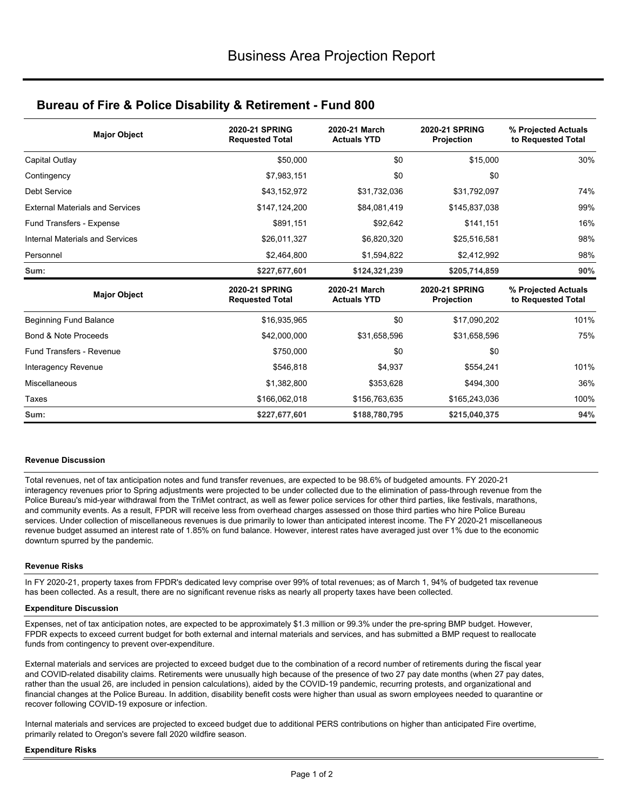# **Bureau of Fire & Police Disability & Retirement - Fund 800**

| <b>Major Object</b>                    | <b>2020-21 SPRING</b><br><b>Requested Total</b> | 2020-21 March<br><b>Actuals YTD</b> | <b>2020-21 SPRING</b><br><b>Projection</b> | % Projected Actuals<br>to Requested Total |  |
|----------------------------------------|-------------------------------------------------|-------------------------------------|--------------------------------------------|-------------------------------------------|--|
| Capital Outlay                         | \$50,000                                        | \$0                                 | \$15,000                                   | 30%                                       |  |
| Contingency                            | \$7,983,151                                     | \$0                                 | \$0                                        |                                           |  |
| <b>Debt Service</b>                    | \$43,152,972                                    | \$31,732,036                        | \$31,792,097                               | 74%                                       |  |
| <b>External Materials and Services</b> | \$147,124,200                                   | \$84,081,419                        | \$145,837,038                              | 99%                                       |  |
| Fund Transfers - Expense               | \$891,151                                       | \$92.642                            | \$141,151                                  | 16%                                       |  |
| Internal Materials and Services        | \$26,011,327                                    | \$6,820,320                         | \$25,516,581                               | 98%                                       |  |
| Personnel                              | \$2,464,800                                     | \$1,594,822                         | \$2,412,992                                | 98%                                       |  |
| Sum:                                   | \$227,677,601                                   | \$124,321,239                       | \$205,714,859                              | 90%                                       |  |
| <b>Major Object</b>                    | <b>2020-21 SPRING</b><br><b>Requested Total</b> | 2020-21 March<br><b>Actuals YTD</b> | <b>2020-21 SPRING</b><br><b>Projection</b> | % Projected Actuals<br>to Requested Total |  |
| <b>Beginning Fund Balance</b>          | \$16,935,965                                    | \$0                                 | \$17,090,202                               | 101%                                      |  |
| Bond & Note Proceeds                   | \$42,000,000                                    | \$31,658,596                        | \$31,658,596                               | 75%                                       |  |
| <b>Fund Transfers - Revenue</b>        | \$750,000                                       | \$0                                 | \$0                                        |                                           |  |
| Interagency Revenue                    | \$546,818                                       | \$4,937                             | \$554,241                                  | 101%                                      |  |
| Miscellaneous                          | \$1,382,800                                     | \$353,628                           | \$494,300                                  | 36%                                       |  |
| Taxes                                  | \$166,062,018                                   | \$156,763,635                       | \$165,243,036                              | 100%                                      |  |
| Sum:                                   | \$227,677,601                                   | \$188,780,795                       | \$215,040,375                              | 94%                                       |  |

#### **Revenue Discussion**

Total revenues, net of tax anticipation notes and fund transfer revenues, are expected to be 98.6% of budgeted amounts. FY 2020-21 interagency revenues prior to Spring adjustments were projected to be under collected due to the elimination of pass-through revenue from the Police Bureau's mid-year withdrawal from the TriMet contract, as well as fewer police services for other third parties, like festivals, marathons, and community events. As a result, FPDR will receive less from overhead charges assessed on those third parties who hire Police Bureau services. Under collection of miscellaneous revenues is due primarily to lower than anticipated interest income. The FY 2020-21 miscellaneous revenue budget assumed an interest rate of 1.85% on fund balance. However, interest rates have averaged just over 1% due to the economic downturn spurred by the pandemic.

#### **Revenue Risks**

In FY 2020-21, property taxes from FPDR's dedicated levy comprise over 99% of total revenues; as of March 1, 94% of budgeted tax revenue has been collected. As a result, there are no significant revenue risks as nearly all property taxes have been collected.

#### **Expenditure Discussion**

Expenses, net of tax anticipation notes, are expected to be approximately \$1.3 million or 99.3% under the pre-spring BMP budget. However, FPDR expects to exceed current budget for both external and internal materials and services, and has submitted a BMP request to reallocate funds from contingency to prevent over-expenditure.

External materials and services are projected to exceed budget due to the combination of a record number of retirements during the fiscal year and COVID-related disability claims. Retirements were unusually high because of the presence of two 27 pay date months (when 27 pay dates, rather than the usual 26, are included in pension calculations), aided by the COVID-19 pandemic, recurring protests, and organizational and financial changes at the Police Bureau. In addition, disability benefit costs were higher than usual as sworn employees needed to quarantine or recover following COVID-19 exposure or infection.

Internal materials and services are projected to exceed budget due to additional PERS contributions on higher than anticipated Fire overtime, primarily related to Oregon's severe fall 2020 wildfire season.

#### **Expenditure Risks**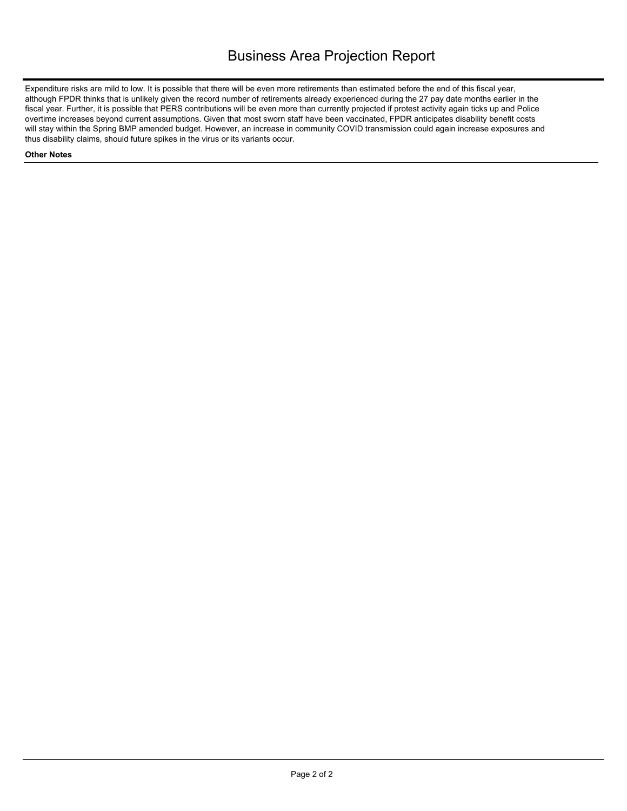Expenditure risks are mild to low. It is possible that there will be even more retirements than estimated before the end of this fiscal year, although FPDR thinks that is unlikely given the record number of retirements already experienced during the 27 pay date months earlier in the fiscal year. Further, it is possible that PERS contributions will be even more than currently projected if protest activity again ticks up and Police overtime increases beyond current assumptions. Given that most sworn staff have been vaccinated, FPDR anticipates disability benefit costs will stay within the Spring BMP amended budget. However, an increase in community COVID transmission could again increase exposures and thus disability claims, should future spikes in the virus or its variants occur.

#### **Other Notes**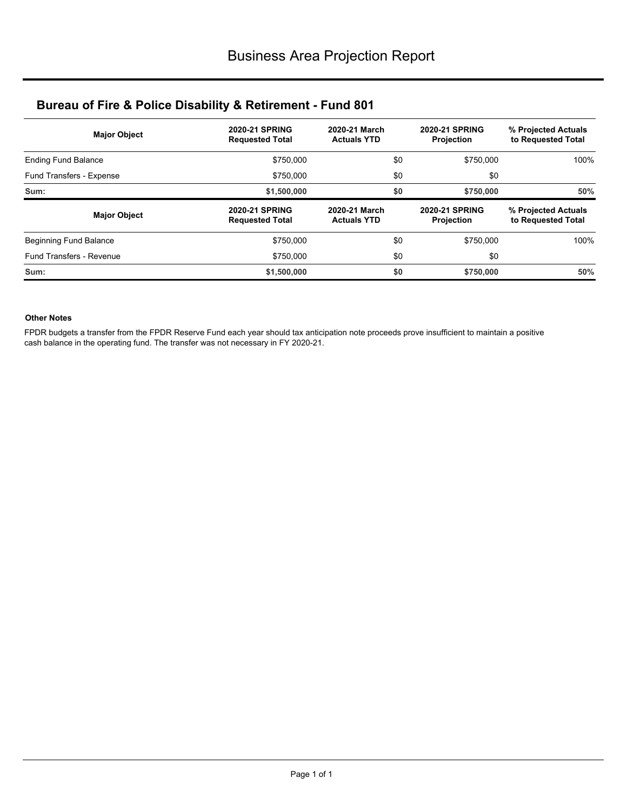# **Bureau of Fire & Police Disability & Retirement - Fund 801**

| <b>Major Object</b>           | <b>2020-21 SPRING</b><br><b>Requested Total</b> | 2020-21 March<br><b>Actuals YTD</b> | <b>2020-21 SPRING</b><br><b>Projection</b> | % Projected Actuals<br>to Requested Total |  |  |
|-------------------------------|-------------------------------------------------|-------------------------------------|--------------------------------------------|-------------------------------------------|--|--|
| <b>Ending Fund Balance</b>    | \$750,000                                       | \$0                                 | \$750,000                                  | 100%                                      |  |  |
| Fund Transfers - Expense      | \$750,000                                       | \$0                                 | \$0                                        |                                           |  |  |
| Sum:                          | \$1,500,000                                     | \$0                                 | \$750,000                                  | 50%                                       |  |  |
|                               |                                                 |                                     |                                            |                                           |  |  |
| <b>Major Object</b>           | <b>2020-21 SPRING</b><br><b>Requested Total</b> | 2020-21 March<br><b>Actuals YTD</b> | <b>2020-21 SPRING</b><br><b>Projection</b> | % Projected Actuals<br>to Requested Total |  |  |
| <b>Beginning Fund Balance</b> | \$750,000                                       | \$0                                 | \$750,000                                  | 100%                                      |  |  |
| Fund Transfers - Revenue      | \$750,000                                       | \$0                                 | \$0                                        |                                           |  |  |

#### **Other Notes**

FPDR budgets a transfer from the FPDR Reserve Fund each year should tax anticipation note proceeds prove insufficient to maintain a positive cash balance in the operating fund. The transfer was not necessary in FY 2020-21.